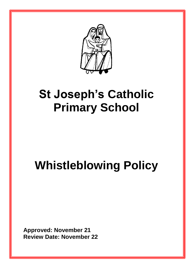

# **St Joseph's Catholic Primary School**

# **Whistleblowing Policy**

**Approved: November 21 Review Date: November 22**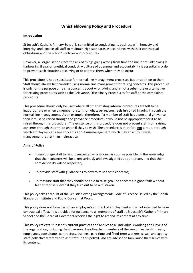# **Whistleblowing Policy and Procedure**

# **Introduction**

St Joseph's Catholic Primary School is committed to conducting its business with honesty and integrity, and expects all staff to maintain high standards in accordance with their contractual obligations and the school's policies and procedures.

However, all organisations face the risk of things going wrong from time to time, or of unknowingly harbouring illegal or unethical conduct. A culture of openness and accountability is essential in order to prevent such situations occurring or to address them when they do occur.

This procedure is not a substitute for normal line management processes but an addition to them. Staff should always first consider using normal line management for raising concerns. This procedure is only for the purpose of raising concerns about wrongdoing and is not a substitute or alternative for existing procedures such as the Grievance, Disciplinary Procedures for staff or the complaints procedure.

This procedure should only be used where all other existing internal procedures are felt to be inappropriate or when a member of staff, for whatever reason, feels inhibited in going through the normal line management. As an example, therefore, if a member of staff has a personal grievance then it must be raised through the grievance procedure; it would not be appropriate for it to be raised through this procedure. The existence of this procedure does not prevent staff from raising concerns through their trade union if they so wish. The procedure is therefore not a route through which employees can raise concerns about mismanagement which may arise from weak management rather than malpractice.

# **Aims of Policy**

- To encourage staff to report suspected wrongdoing as soon as possible, in the knowledge that their concerns will be taken seriously and investigated as appropriate, and that their confidentiality will be respected;
- To provide staff with guidance as to how to raise those concerns;
- To reassure staff that they should be able to raise genuine concerns in good faith without fear of reprisals, even if they turn out to be a mistaken.

This policy takes account of the Whistleblowing Arrangements Code of Practice issued by the British Standards Institute and Public Concern at Work.

This policy does not form part of an employee's contract of employment and is not intended to have contractual effect. It is provided for guidance to all members of staff at St Joseph's Catholic Primary School and the Board of Governors reserves the right to amend its content at any time.

This Policy reflects St Joseph's current practices and applies to all individuals working at all levels of the organisation, including the Governors, Headteacher, members of the Senior Leadership Team, employees, consultants, contractors, trainees, part-time and fixed-term workers, casual and agency staff (collectively referred to as "Staff" in this policy) who are advised to familiarise themselves with its content.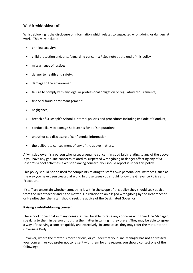# **What is whistleblowing?**

Whistleblowing is the disclosure of information which relates to suspected wrongdoing or dangers at work. This may include:

- criminal activity;
- child protection and/or safeguarding concerns; \* See note at the end of this policy
- miscarriages of justice;
- danger to health and safety;
- damage to the environment;
- failure to comply with any legal or professional obligation or regulatory requirements;
- financial fraud or mismanagement;
- negligence;
- breach of St Joseph's School's internal policies and procedures including its Code of Conduct;
- conduct likely to damage St Joseph's School's reputation;
- unauthorised disclosure of confidential information;
- the deliberate concealment of any of the above matters.

A 'whistleblower' is a person who raises a genuine concern in good faith relating to any of the above. If you have any genuine concerns related to suspected wrongdoing or danger affecting any of St Joseph's School activities (a whistleblowing concern) you should report it under this policy.

This policy should not be used for complaints relating to staff's own personal circumstances, such as the way you have been treated at work. In those cases you should follow the Grievance Policy and Procedure.

If staff are uncertain whether something is within the scope of this policy they should seek advice from the Headteacher and if the matter is in relation to an alleged wrongdoing by the Headteacher or Headteacher then staff should seek the advice of the Designated Governor.

#### **Raising a whistleblowing concern**

The school hopes that in many cases staff will be able to raise any concerns with their Line Manager, speaking to them in person or putting the matter in writing if they prefer. They may be able to agree a way of resolving a concern quickly and effectively. In some cases they may refer the matter to the Governing Body.

However, where the matter is more serious, or you feel that your Line Manager has not addressed your concern, or you prefer not to raise it with them for any reason, you should contact one of the following: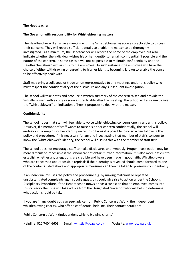# **The Headteacher**

# **The Governor with responsibility for Whistleblowing matters**

The Headteacher will arrange a meeting with the 'whistleblower' as soon as practicable to discuss their concern. They will record sufficient details to enable the matter to be thoroughly investigated. As a minimum, the Headteacher will record the name of the employee but also indicate whether the individual wishes his or her identity to remain confidential, if possible and the nature of the concern. In some cases it will not be possible to maintain confidentiality and the Headteacher should explain this to the employee. In such instances the employee will have the choice of either withdrawing or agreeing to his/her identity becoming known to enable the concern to be effectively dealt with.

Staff may bring a colleague or trade union representative to any meetings under this policy who must respect the confidentiality of the disclosure and any subsequent investigation.

The school will take notes and produce a written summary of the concern raised and provide the 'whistleblower' with a copy as soon as practicable after the meeting. The School will also aim to give the ''whistleblower'' an indication of how it proposes to deal with the matter.

# **Confidentiality**

The school hopes that staff will feel able to voice whistleblowing concerns openly under this policy. However, if a member of staff wants to raise his or her concern confidentially, the school will endeavour to keep his or her identity secret in so far as it is possible to do so when following this policy and procedure. If it is necessary for anyone investigating that member of staff's concern to know the 'whistleblower's identity, the school will discuss this with the member of staff first.

The school does not encourage staff to make disclosures anonymously. Proper investigation may be more difficult or impossible if the school cannot obtain further information. It is also more difficult to establish whether any allegations are credible and have been made in good faith. Whistleblowers who are concerned about possible reprisals if their identity is revealed should come forward to one of the contacts listed above and appropriate measures can then be taken to preserve confidentiality.

If an individual misuses the policy and procedure e.g. by making malicious or repeated unsubstantiated complaints against colleagues, this could give rise to action under the School's Disciplinary Procedure. If the Headteacher knows or has a suspicion that an employee comes into this category then she will take advice from the Designated Governor who will help to determine what action should be taken.

If you are in any doubt you can seek advice from Public Concern at Work, the independent whistleblowing charity, who offer a confidential helpline. Their contact details are:

Public Concern at Work (Independent whistle blowing charity)

Helpline: 020 7404 6609 E-mail: [whistle@pcaw.co.uk](mailto:whistle@pcaw.co.uk) Website[: www.pcaw.co.uk](http://www.pcaw.co.uk/)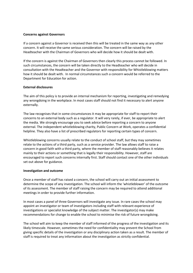# **Concerns against Governors**

If a concern against a Governor is received then this will be treated in the same way as any other concern. It will receive the same serious consideration. The concern will be raised by the Headteacher with the Chairman of Governors who will decide how it should be dealt with.

If the concern is against the Chairman of Governors then clearly this process cannot be followed. In such circumstances, the concern will be taken directly to the Headteacher who will decide in consultation with the Headteacher and the Governor with responsibility for Whistleblowing matters how it should be dealt with. In normal circumstances such a concern would be referred to the Department for Education for action.

# **External disclosures**

The aim of this policy is to provide an internal mechanism for reporting, investigating and remedying any wrongdoing in the workplace. In most cases staff should not find it necessary to alert anyone externally.

The law recognises that in some circumstances it may be appropriate for staff to report their concerns to an external body such as a regulator. It will very rarely, if ever, be appropriate to alert the media. We strongly encourage you to seek advice before reporting a concern to anyone external. The independent whistleblowing charity, Public Concern at Work, operates a confidential helpline. They also have a list of prescribed regulators for reporting certain types of concern.

Whistleblowing concerns usually relate to the conduct of school staff, but they may sometimes relate to the actions of a third party, such as a service provider. The law allows staff to raise a concern in good faith with a third party, where the member of staff reasonably believes it relates mainly to their actions or something that is legally their responsibility. However, staff are encouraged to report such concerns internally first. Staff should contact one of the other individuals set out above for guidance.

#### **Investigation and outcome**

Once a member of staff has raised a concern, the school will carry out an initial assessment to determine the scope of any investigation. The school will inform the 'whistleblower' of the outcome of its assessment. The member of staff raising the concern may be required to attend additional meetings in order to provide further information.

In most cases a panel of three Governors will investigate any issue. In rare cases the school may appoint an investigator or team of investigators including staff with relevant experience of investigations or specialist knowledge of the subject matter. The investigator(s) may make recommendations for change to enable the school to minimise the risk of future wrongdoing.

The school will aim to keep the member of staff informed of the progress of the investigation and its likely timescale. However, sometimes the need for confidentiality may prevent the School from giving specific details of the investigation or any disciplinary action taken as a result. The member of staff is required to treat any information about the investigation as strictly confidential.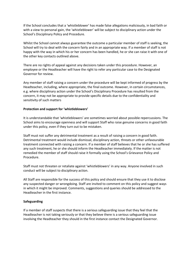If the School concludes that a 'whistleblower' has made false allegations maliciously, in bad faith or with a view to personal gain, the 'whistleblower' will be subject to disciplinary action under the School's Disciplinary Policy and Procedure.

Whilst the School cannot always guarantee the outcome a particular member of staff is seeking, the School will try to deal with the concern fairly and in an appropriate way. If a member of staff is not happy with the way in which his or her concern has been handled, he or she can raise it with one of the other key contacts outlined above.

There are no rights of appeal against any decisions taken under this procedure. However, an employee or the Headteacher will have the right to refer any particular case to the Designated Governor for review.

Any member of staff raising a concern under the procedure will be kept informed of progress by the Headteacher, including, where appropriate, the final outcome. However, in certain circumstances, e.g. where disciplinary action under the School's Disciplinary Procedure has resulted from the concern, it may not be appropriate to provide specific details due to the confidentiality and sensitivity of such matters

# **Protection and support for 'whistleblowers'**

It is understandable that 'whistleblowers' are sometimes worried about possible repercussions. The School aims to encourage openness and will support Staff who raise genuine concerns in good faith under this policy, even if they turn out to be mistaken.

Staff must not suffer any detrimental treatment as a result of raising a concern in good faith. Detrimental treatment would include dismissal, disciplinary action, threats or other unfavourable treatment connected with raising a concern. If a member of staff believes that he or she has suffered any such treatment, he or she should inform the Headteacher immediately. If the matter is not remedied the member of staff should raise it formally using the School's Grievance Policy and Procedure.

Staff must not threaten or retaliate against 'whistleblowers' in any way. Anyone involved in such conduct will be subject to disciplinary action.

All Staff are responsible for the success of this policy and should ensure that they use it to disclose any suspected danger or wrongdoing. Staff are invited to comment on this policy and suggest ways in which it might be improved. Comments, suggestions and queries should be addressed to the Headteacher in the first instance.

# **Safeguarding**

If a member of staff suspects that there is a serious safeguarding issue that they feel that the Headteacher is not taking seriously or that they believe there is a serious safeguarding issue involving the Headteacher they should in the first instance contact the Designated Governor.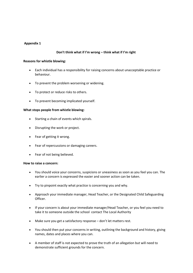# **Appendix 1**

# **Don't think what if I'm wrong – think what if I'm right**

# **Reasons for whistle blowing:**

- Each individual has a responsibility for raising concerns about unacceptable practice or behaviour.
- To prevent the problem worsening or widening.
- To protect or reduce risks to others.
- To prevent becoming implicated yourself.

# **What stops people from whistle blowing:**

- Starting a chain of events which spirals.
- Disrupting the work or project.
- Fear of getting it wrong.
- Fear of repercussions or damaging careers.
- Fear of not being believed.

# **How to raise a concern:**

- You should voice your concerns, suspicions or uneasiness as soon as you feel you can. The earlier a concern is expressed the easier and sooner action can be taken.
- Try to pinpoint exactly what practice is concerning you and why.
- Approach your immediate manager, Head Teacher, or the Designated Child Safeguarding Officer.
- If your concern is about your immediate manager/Head Teacher, or you feel you need to take it to someone outside the school contact The Local Authority
- Make sure you get a satisfactory response don't let matters rest.
- You should then put your concerns in writing, outlining the background and history, giving names, dates and places where you can.
- A member of staff is not expected to prove the truth of an allegation but will need to demonstrate sufficient grounds for the concern.